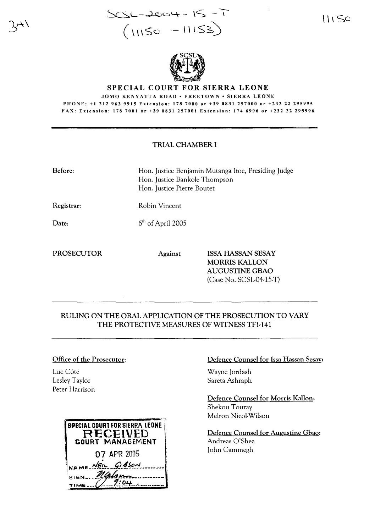$SCSL-2004 - 15 - 1$  $( \text{115c} - \text{11153})$ 

 $\bigcup$  Sc



#### SPECIAL COURT FOR SIERRA LEONE

JOMO KENYATTA ROAD • FREETOWN • SIERRA LEONE PHONE: +1 212 963 9915 Extension: 178 7000 or +39 0831257000 or +232 22 295995 FAX: Extension: 178 7001 or +39 0831257001 Extension: 174 6996 or +232 22 295996

## TRIAL CHAMBER I

| <b>Before:</b> |                     | Hon. Justice Benjamin Mutanga Itoe, Presiding Judge<br>Hon. Justice Bankole Thompson<br>Hon. Justice Pierre Boutet |  |
|----------------|---------------------|--------------------------------------------------------------------------------------------------------------------|--|
| Registrar:     | Robin Vincent       |                                                                                                                    |  |
| Date:          | $6th$ of April 2005 |                                                                                                                    |  |
| PROSECUTOR     | <b>Against</b>      | <b>ISSA HASSAN SESAY</b><br><b>MORRIS KALLON</b><br><b>AUGUSTINE GBAO</b>                                          |  |

# RULING ON THE ORAL APPLICATION OF THE PROSECUTION TO VARY THE PROTECTIVE MEASURES OF WITNESS TFl·141

### Office of the Prosecutor:

Luc Côté Lesley Taylor Peter Harrison

| <b>SPECIAL COURT FOR SIERRA LEONE</b><br>RECEIVED |
|---------------------------------------------------|
| <b>GOURT MANAGEMENT</b>                           |
| 07 APR 2005                                       |
| NAME NEIL GIBSON                                  |
| NGJ                                               |
|                                                   |

### Defence Counsel for Issa Hassan Sesay:

Wayne Jordash Sareta Ashraph

(Case No. SCSL-04-15-T)

Defence Counsel for Morris Kallon: Shekou Touray Mehon Nicol-Wilson

Defence Counsel for Augustine Gbao: Andreas O'Shea John Cammegh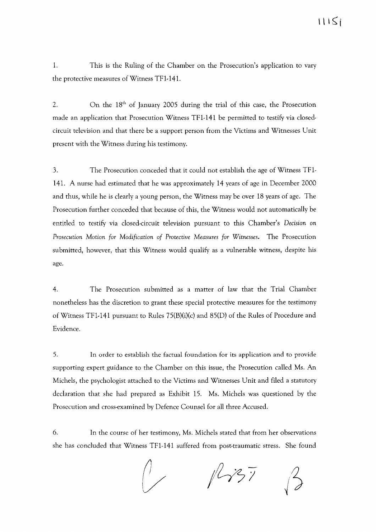1. This is the Ruling of the Chamber on the Prosecution's application to vary the protective measures of Witness TF1-141.

2.  $\Omega$  On the 18<sup>th</sup> of January 2005 during the trial of this case, the Prosecution made an application that Prosecution Witness TF1-141 be permitted to testify via closedcircuit television and that there be a support person from the Victims and Witnesses Unit present with the Witness during his testimony.

3. The Prosecution conceded that it could not establish the age of Witness TF1- 141. A nurse had estimated that he was approximately 14 years of age in December 2000 and thus, while he is clearly a young person, the Witness may be over 18 years of age. The Prosecution further conceded that because of this, the Witness would not automatically be entitled to testify via closed-circuit television pursuant to this Chamber's *Decision* on *Prosecution Motion for Modification of Protective Measures for Witnesses.* The Prosecution submitted, however, that this Witness would qualify as a vulnerable witness, despite his age.

4. The Prosecution submitted as a matter of law that the Trial Chamber nonetheless has the discretion to grant these special protective measures for the testimony of Witness TF1-141 pursuant to Rules 75(B)(i)(c) and 85(D) of the Rules of Procedure and Evidence.

5. In order to establish the factual foundation for its application and to provide supporting expert guidance to the Chamber on this issue, the Prosecution called Ms. An Michels, the psychologist attached to the Victims and Witnesses Unit and filed a statutory declaration that she had prepared as Exhibit 15. Ms. Michels was questioned by the Prosecution and cross-examined by Defence Counsel for all three Accused.

6. In the course of her testimony, Ms. Michels stated that from her observations she has concluded that Witness TF1-141 suffered from post-traumatic stress. She found

 $\bigwedge$  $1137$  $\bigcup$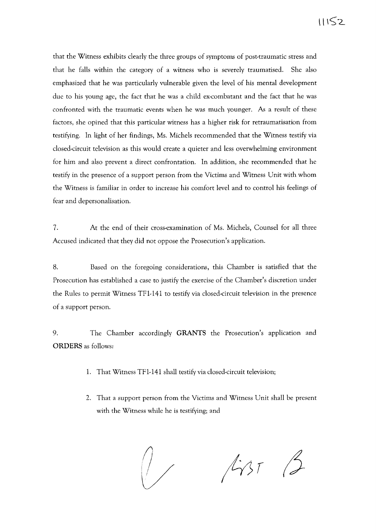that the Witness exhibits clearly the three groups of symptoms of post-traumatic stress and that he falls within the category of a witness who is severely traumatised. She also emphasized that he was particularly vulnerable given the level of his mental development due to his young age, the fact that he was a child ex-combatant and the fact that he was confronted with the traumatic events when he was much younger. As a result of these factors, she opined that this particular witness has a higher risk for retraumatisation from testifying. In light of her findings, Ms. Michels recommended that the Witness testify via closed-circuit television as this would create a quieter and less overwhelming environment for him and also prevent a direct confrontation. In addition, she recommended that he testify in the presence of a support person from the Victims and Witness Unit with whom the Witness is familiar in order to increase his comfort level and to control his feelings of fear and depersonalisation.

7. At the end of their cross-examination of Ms. Michels, Counsel for all three Accused indicated that they did not oppose the Prosecution's application.

8. Based on the foregoing considerations, this Chamber is satisfied that the Prosecution has established a case to justify the exercise of the Chamber's discretion under the Rules to permit Witness TF1-141 to testify via closed-circuit television in the presence of a support person.

9. The Chamber accordingly **GRANTS** the Prosecution's application and **ORDERS** as follows:

- 1. That Witness TF1-141 shall testify via closed-circuit television;
- 2. That a support person from the Victims and Witness Unit shall be present with the Witness while he is testifying; and

 $1437$   $2$ fJ*V* I / *i ...*